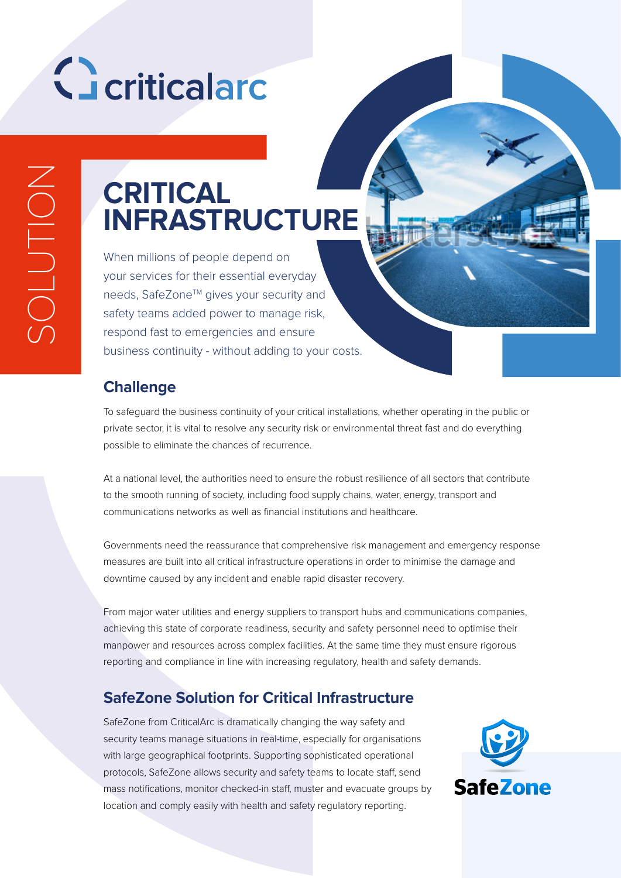# Geriticalard

SOLUTION SOLUTION

### **CRITICAL INFRASTRUCTURE**

When millions of people depend on your services for their essential everyday needs, SafeZone™ gives your security and safety teams added power to manage risk, respond fast to emergencies and ensure business continuity - without adding to your costs.

#### **Challenge**

To safeguard the business continuity of your critical installations, whether operating in the public or private sector, it is vital to resolve any security risk or environmental threat fast and do everything possible to eliminate the chances of recurrence.

At a national level, the authorities need to ensure the robust resilience of all sectors that contribute to the smooth running of society, including food supply chains, water, energy, transport and communications networks as well as financial institutions and healthcare.

Governments need the reassurance that comprehensive risk management and emergency response measures are built into all critical infrastructure operations in order to minimise the damage and downtime caused by any incident and enable rapid disaster recovery.

From major water utilities and energy suppliers to transport hubs and communications companies, achieving this state of corporate readiness, security and safety personnel need to optimise their manpower and resources across complex facilities. At the same time they must ensure rigorous reporting and compliance in line with increasing regulatory, health and safety demands.

#### **SafeZone Solution for Critical Infrastructure**

SafeZone from CriticalArc is dramatically changing the way safety and security teams manage situations in real-time, especially for organisations with large geographical footprints. Supporting sophisticated operational protocols, SafeZone allows security and safety teams to locate staff, send mass notifications, monitor checked-in staff, muster and evacuate groups by location and comply easily with health and safety regulatory reporting.